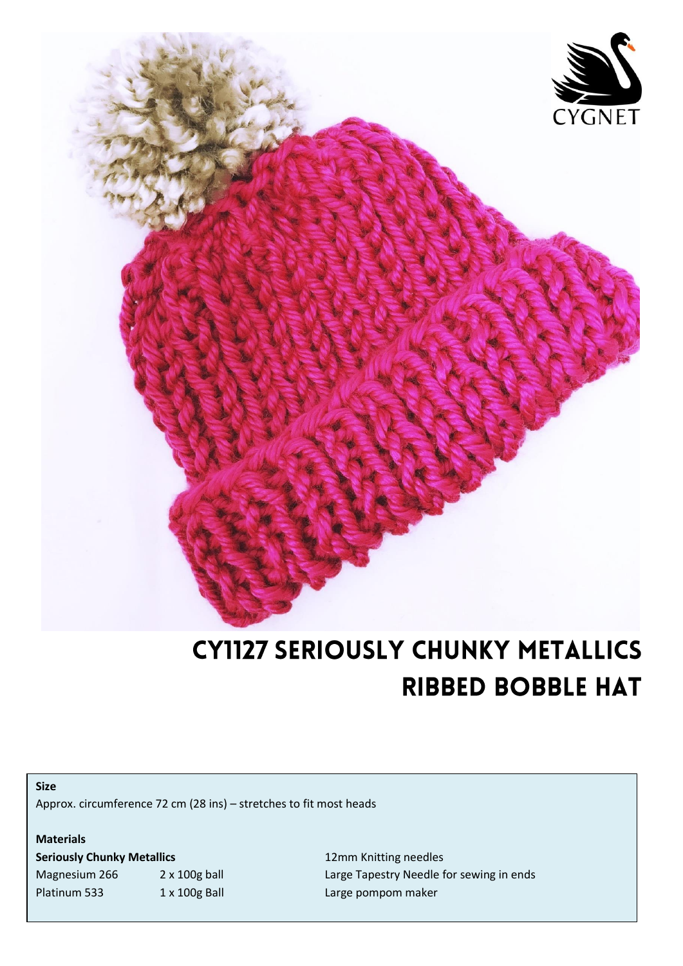

## **CY1127 SERIOUSLY CHUNKY METALLICS RIBBED BOBBLE HAT**

## **Size**

Approx. circumference 72 cm (28 ins) – stretches to fit most heads

**Materials**

**Seriously Chunky Metallics** 12mm Knitting needles Magnesium 266 2 x 100g ball Large Tapestry Needle for sewing in ends Platinum 533 1 x 100g Ball Large pompom maker